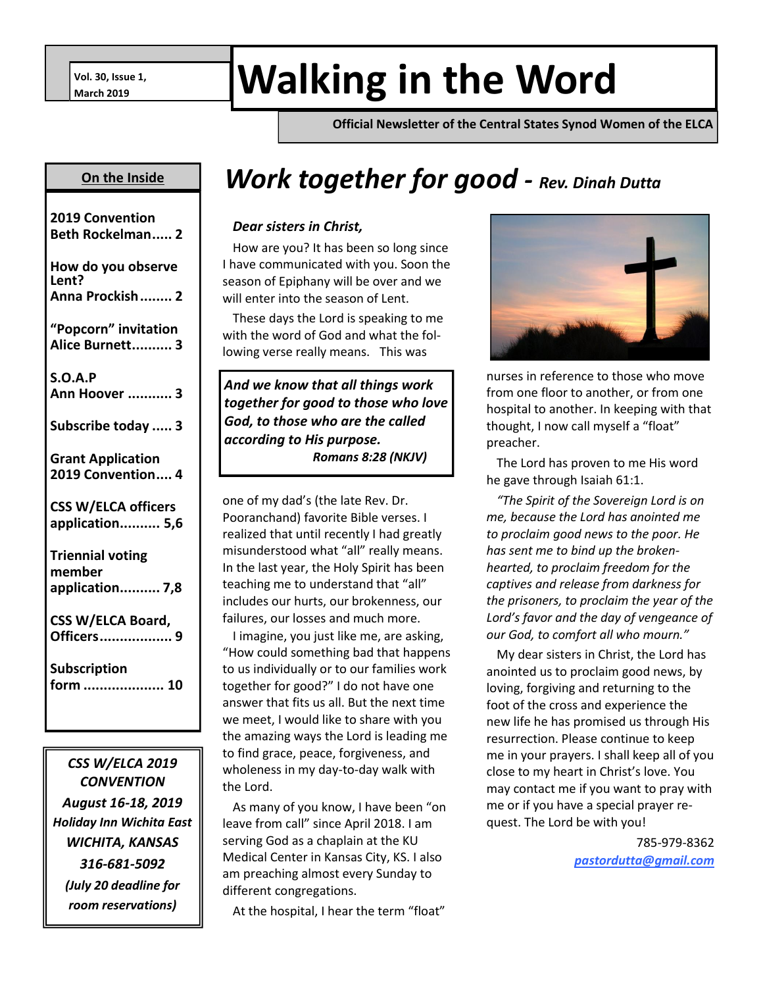# **Walking in the Word World**

**Official Newsletter of the Central States Synod Women of the ELCA**

#### **On the Inside**

| 2019 Convention<br><b>Beth Rockelman 2</b>           |
|------------------------------------------------------|
| How do you observe<br>Lent?<br>Anna Prockish 2       |
| "Popcorn" invitation<br>Alice Burnett 3              |
| S.O.A.P<br>Ann Hoover  3                             |
| Subscribe today  3                                   |
| <b>Grant Application</b><br>2019 Convention 4        |
| <b>CSS W/ELCA officers</b><br>application 5,6        |
| <b>Triennial voting</b><br>member<br>application 7,8 |
| <b>CSS W/ELCA Board,</b><br>Officers<br>. 9          |
| <b>Subscription</b><br>form  10                      |
|                                                      |

*CSS W/ELCA 2019 CONVENTION August 16-18, 2019 Holiday Inn Wichita East WICHITA, KANSAS 316-681-5092 (July 20 deadline for room reservations)*

## *Work together for good - Rev. Dinah Dutta*

#### *Dear sisters in Christ,*

How are you? It has been so long since I have communicated with you. Soon the season of Epiphany will be over and we will enter into the season of Lent.

These days the Lord is speaking to me with the word of God and what the following verse really means. This was

*And we know that all things work together for good to those who love God, to those who are the called according to His purpose. Romans 8:28 (NKJV)*

one of my dad's (the late Rev. Dr. Pooranchand) favorite Bible verses. I realized that until recently I had greatly misunderstood what "all" really means. In the last year, the Holy Spirit has been teaching me to understand that "all" includes our hurts, our brokenness, our failures, our losses and much more.

I imagine, you just like me, are asking, "How could something bad that happens to us individually or to our families work together for good?" I do not have one answer that fits us all. But the next time we meet, I would like to share with you the amazing ways the Lord is leading me to find grace, peace, forgiveness, and wholeness in my day-to-day walk with the Lord.

As many of you know, I have been "on leave from call" since April 2018. I am serving God as a chaplain at the KU Medical Center in Kansas City, KS. I also am preaching almost every Sunday to different congregations.

At the hospital, I hear the term "float"



nurses in reference to those who move from one floor to another, or from one hospital to another. In keeping with that thought, I now call myself a "float" preacher.

The Lord has proven to me His word he gave through Isaiah 61:1.

*"The Spirit of the Sovereign Lord is on me, because the Lord has anointed me to proclaim good news to the poor. He has sent me to bind up the brokenhearted, to proclaim freedom for the captives and release from darkness for the prisoners, to proclaim the year of the Lord's favor and the day of vengeance of our God, to comfort all who mourn."*

My dear sisters in Christ, the Lord has anointed us to proclaim good news, by loving, forgiving and returning to the foot of the cross and experience the new life he has promised us through His resurrection. Please continue to keep me in your prayers. I shall keep all of you close to my heart in Christ's love. You may contact me if you want to pray with me or if you have a special prayer request. The Lord be with you!

> 785-979-8362 *pastordutta@gmail.com*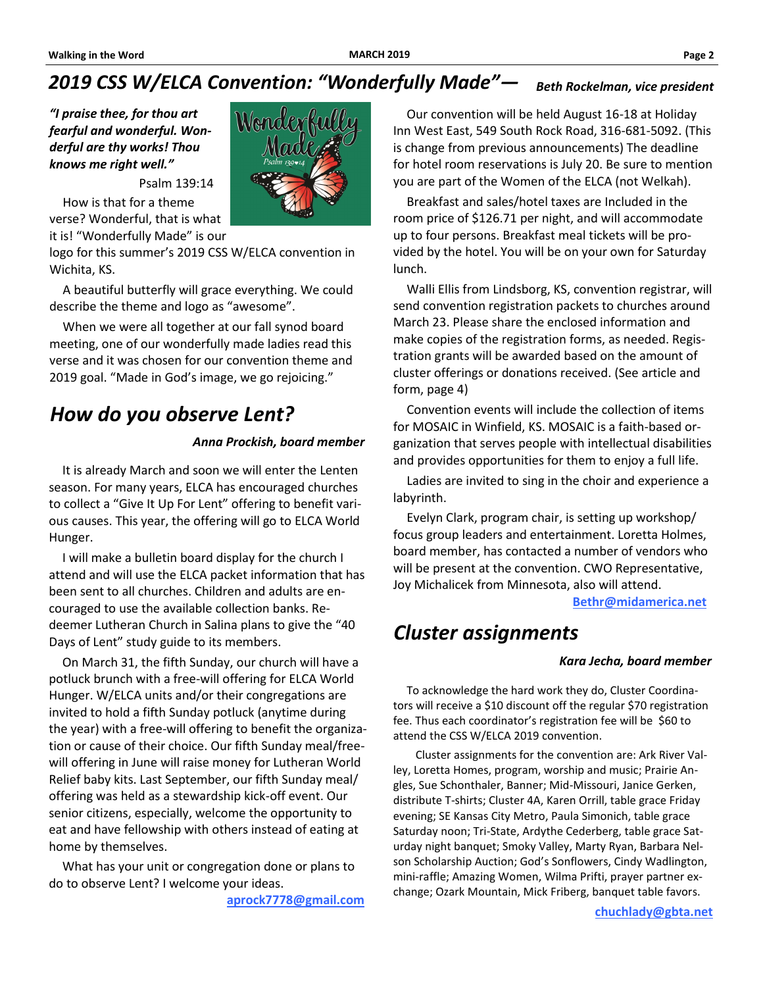#### *2019 CSS W/ELCA Convention: "Wonderfully Made"— Beth Rockelman, vice president*

*"I praise thee, for thou art fearful and wonderful. Wonderful are thy works! Thou knows me right well."* 



Psalm 139:14

How is that for a theme verse? Wonderful, that is what it is! "Wonderfully Made" is our

logo for this summer's 2019 CSS W/ELCA convention in Wichita, KS.

A beautiful butterfly will grace everything. We could describe the theme and logo as "awesome".

When we were all together at our fall synod board meeting, one of our wonderfully made ladies read this verse and it was chosen for our convention theme and 2019 goal. "Made in God's image, we go rejoicing."

### *How do you observe Lent?*

#### *Anna Prockish, board member*

It is already March and soon we will enter the Lenten season. For many years, ELCA has encouraged churches to collect a "Give It Up For Lent" offering to benefit various causes. This year, the offering will go to ELCA World Hunger.

I will make a bulletin board display for the church I attend and will use the ELCA packet information that has been sent to all churches. Children and adults are encouraged to use the available collection banks. Redeemer Lutheran Church in Salina plans to give the "40 Days of Lent" study guide to its members.

On March 31, the fifth Sunday, our church will have a potluck brunch with a free-will offering for ELCA World Hunger. W/ELCA units and/or their congregations are invited to hold a fifth Sunday potluck (anytime during the year) with a free-will offering to benefit the organization or cause of their choice. Our fifth Sunday meal/freewill offering in June will raise money for Lutheran World Relief baby kits. Last September, our fifth Sunday meal/ offering was held as a stewardship kick-off event. Our senior citizens, especially, welcome the opportunity to eat and have fellowship with others instead of eating at home by themselves.

What has your unit or congregation done or plans to do to observe Lent? I welcome your ideas.

**aprock7778@gmail.com**

Our convention will be held August 16-18 at Holiday Inn West East, 549 South Rock Road, 316-681-5092. (This is change from previous announcements) The deadline for hotel room reservations is July 20. Be sure to mention you are part of the Women of the ELCA (not Welkah).

Breakfast and sales/hotel taxes are Included in the room price of \$126.71 per night, and will accommodate up to four persons. Breakfast meal tickets will be provided by the hotel. You will be on your own for Saturday lunch.

Walli Ellis from Lindsborg, KS, convention registrar, will send convention registration packets to churches around March 23. Please share the enclosed information and make copies of the registration forms, as needed. Registration grants will be awarded based on the amount of cluster offerings or donations received. (See article and form, page 4)

Convention events will include the collection of items for MOSAIC in Winfield, KS. MOSAIC is a faith-based organization that serves people with intellectual disabilities and provides opportunities for them to enjoy a full life.

Ladies are invited to sing in the choir and experience a labyrinth.

Evelyn Clark, program chair, is setting up workshop/ focus group leaders and entertainment. Loretta Holmes, board member, has contacted a number of vendors who will be present at the convention. CWO Representative, Joy Michalicek from Minnesota, also will attend.

**Bethr@midamerica.net**

### *Cluster assignments*

#### *Kara Jecha, board member*

To acknowledge the hard work they do, Cluster Coordinators will receive a \$10 discount off the regular \$70 registration fee. Thus each coordinator's registration fee will be \$60 to attend the CSS W/ELCA 2019 convention.

Cluster assignments for the convention are: Ark River Valley, Loretta Homes, program, worship and music; Prairie Angles, Sue Schonthaler, Banner; Mid-Missouri, Janice Gerken, distribute T-shirts; Cluster 4A, Karen Orrill, table grace Friday evening; SE Kansas City Metro, Paula Simonich, table grace Saturday noon; Tri-State, Ardythe Cederberg, table grace Saturday night banquet; Smoky Valley, Marty Ryan, Barbara Nelson Scholarship Auction; God's Sonflowers, Cindy Wadlington, mini-raffle; Amazing Women, Wilma Prifti, prayer partner exchange; Ozark Mountain, Mick Friberg, banquet table favors.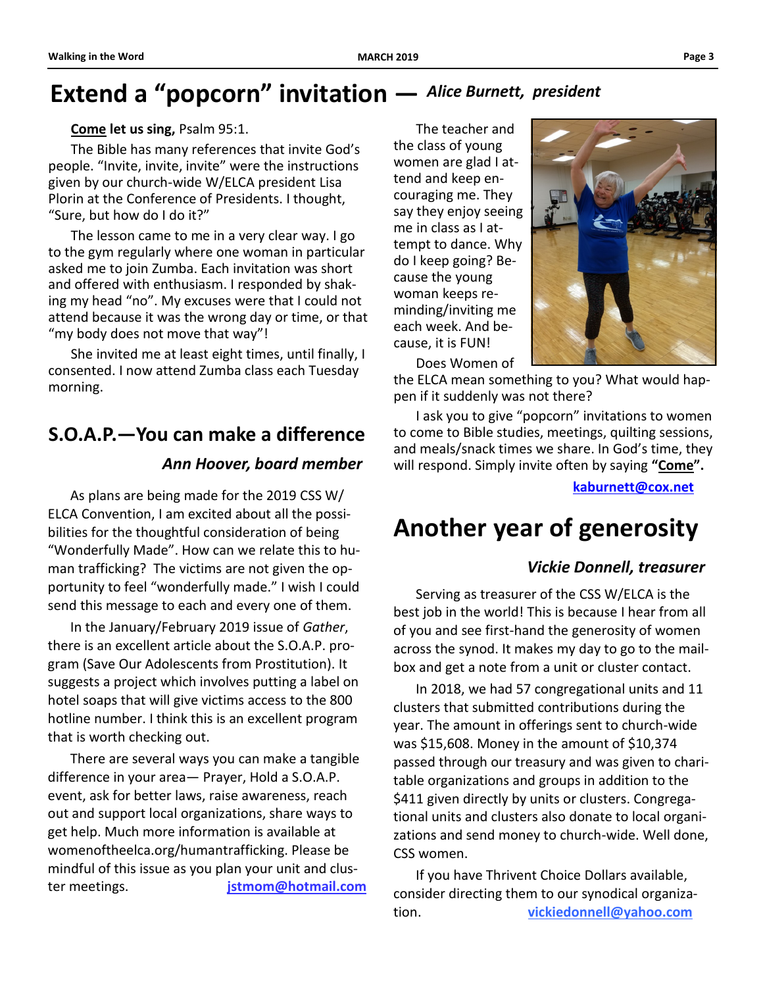### **Extend a "popcorn" invitation —** *Alice Burnett, president*

#### **Come let us sing,** Psalm 95:1.

The Bible has many references that invite God's people. "Invite, invite, invite" were the instructions given by our church-wide W/ELCA president Lisa Plorin at the Conference of Presidents. I thought, "Sure, but how do I do it?"

The lesson came to me in a very clear way. I go to the gym regularly where one woman in particular asked me to join Zumba. Each invitation was short and offered with enthusiasm. I responded by shaking my head "no". My excuses were that I could not attend because it was the wrong day or time, or that "my body does not move that way"!

She invited me at least eight times, until finally, I consented. I now attend Zumba class each Tuesday morning.

### *Ann Hoover, board member* **S.O.A.P.—You can make a difference**

As plans are being made for the 2019 CSS W/ ELCA Convention, I am excited about all the possibilities for the thoughtful consideration of being "Wonderfully Made". How can we relate this to human trafficking? The victims are not given the opportunity to feel "wonderfully made." I wish I could send this message to each and every one of them.

In the January/February 2019 issue of *Gather*, there is an excellent article about the S.O.A.P. program (Save Our Adolescents from Prostitution). It suggests a project which involves putting a label on hotel soaps that will give victims access to the 800 hotline number. I think this is an excellent program that is worth checking out.

There are several ways you can make a tangible difference in your area— Prayer, Hold a S.O.A.P. event, ask for better laws, raise awareness, reach out and support local organizations, share ways to get help. Much more information is available at womenoftheelca.org/humantrafficking. Please be mindful of this issue as you plan your unit and cluster meetings. **jstmom@hotmail.com**

The teacher and the class of young women are glad I attend and keep encouraging me. They say they enjoy seeing me in class as I attempt to dance. Why do I keep going? Because the young woman keeps reminding/inviting me each week. And because, it is FUN!

Does Women of

the ELCA mean something to you? What would happen if it suddenly was not there?

I ask you to give "popcorn" invitations to women to come to Bible studies, meetings, quilting sessions, and meals/snack times we share. In God's time, they will respond. Simply invite often by saying **"Come".** 

**kaburnett@cox.net**

### **Another year of generosity**

#### *Vickie Donnell, treasurer*

Serving as treasurer of the CSS W/ELCA is the best job in the world! This is because I hear from all of you and see first-hand the generosity of women across the synod. It makes my day to go to the mailbox and get a note from a unit or cluster contact.

In 2018, we had 57 congregational units and 11 clusters that submitted contributions during the year. The amount in offerings sent to church-wide was \$15,608. Money in the amount of \$10,374 passed through our treasury and was given to charitable organizations and groups in addition to the \$411 given directly by units or clusters. Congregational units and clusters also donate to local organizations and send money to church-wide. Well done, CSS women.

If you have Thrivent Choice Dollars available, consider directing them to our synodical organization. **vickiedonnell@yahoo.com**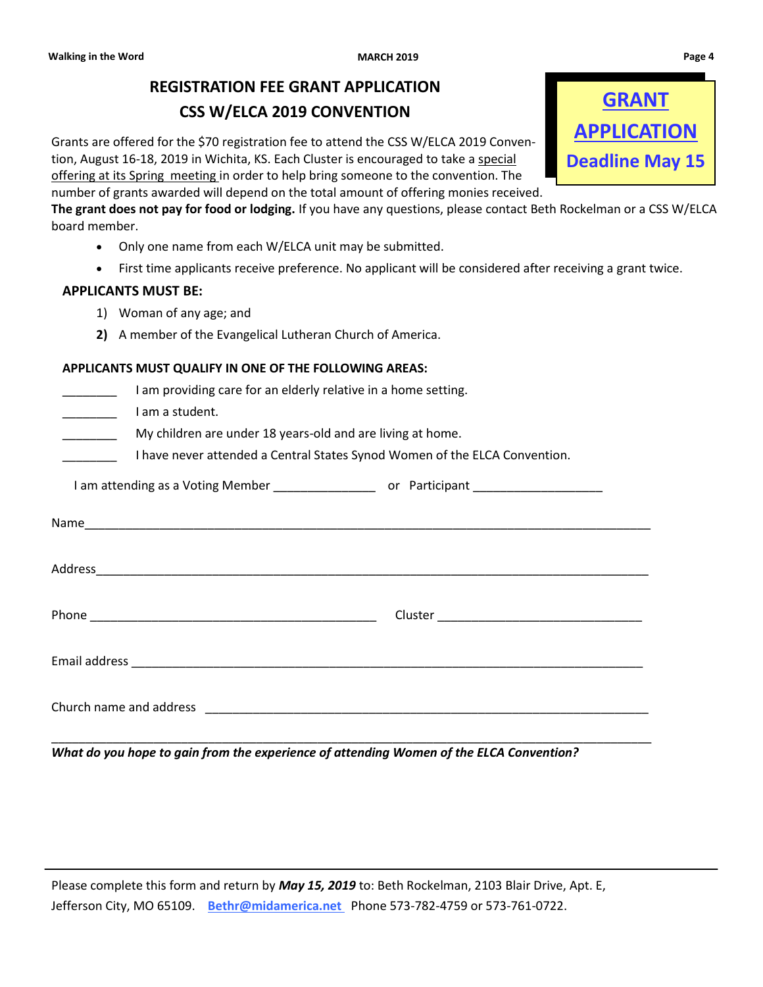### **REGISTRATION FEE GRANT APPLICATION CSS W/ELCA 2019 CONVENTION**

Grants are offered for the \$70 registration fee to attend the CSS W/ELCA 2019 Convention, August 16-18, 2019 in Wichita, KS. Each Cluster is encouraged to take a special offering at its Spring meeting in order to help bring someone to the convention. The

number of grants awarded will depend on the total amount of offering monies received.

**The grant does not pay for food or lodging.** If you have any questions, please contact Beth Rockelman or a CSS W/ELCA board member.

- Only one name from each W/ELCA unit may be submitted.
- First time applicants receive preference. No applicant will be considered after receiving a grant twice.

#### **APPLICANTS MUST BE:**

- 1) Woman of any age; and
- **2)** A member of the Evangelical Lutheran Church of America.

| APPLICANTS MUST QUALIFY IN ONE OF THE FOLLOWING AREAS: |  |  |
|--------------------------------------------------------|--|--|
|                                                        |  |  |

| I am providing care for an elderly relative in a home setting.<br>I am a student. |                                                                            |  |
|-----------------------------------------------------------------------------------|----------------------------------------------------------------------------|--|
| My children are under 18 years-old and are living at home.                        | I have never attended a Central States Synod Women of the ELCA Convention. |  |
|                                                                                   |                                                                            |  |
|                                                                                   |                                                                            |  |
|                                                                                   |                                                                            |  |
|                                                                                   |                                                                            |  |
|                                                                                   |                                                                            |  |
|                                                                                   |                                                                            |  |

*What do you hope to gain from the experience of attending Women of the ELCA Convention?*

Please complete this form and return by *May 15, 2019* to: Beth Rockelman, 2103 Blair Drive, Apt. E, Jefferson City, MO 65109. **Bethr@midamerica.net** Phone 573-782-4759 or 573-761-0722.

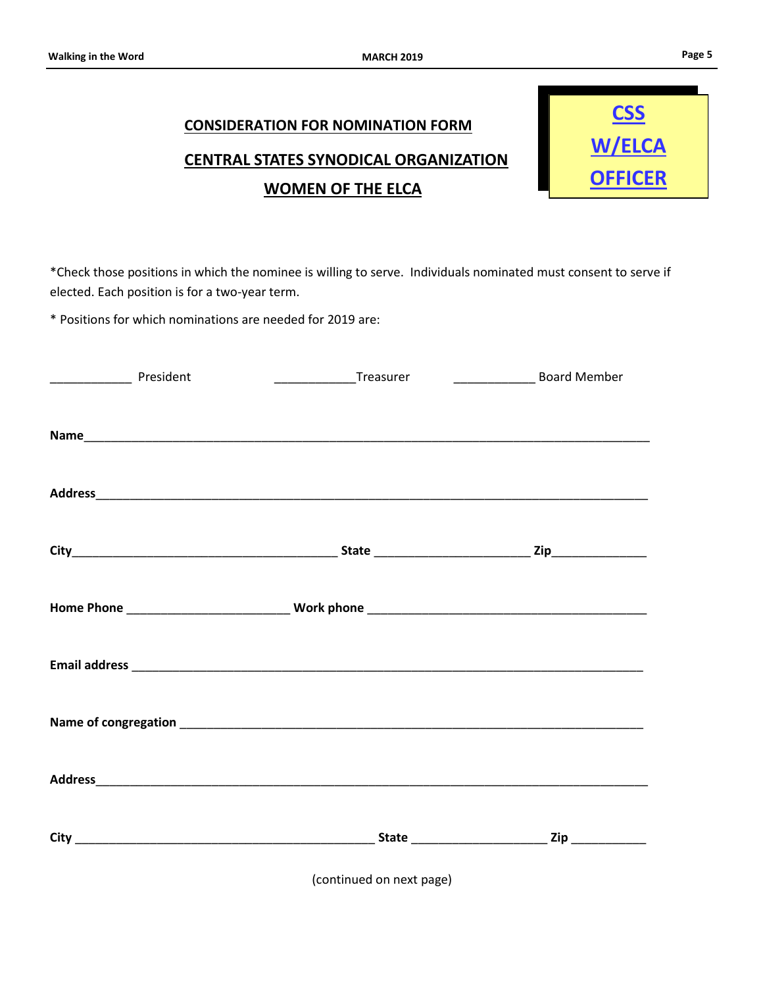### **CONSIDERATION FOR NOMINATION FORM CENTRAL STATES SYNODICAL ORGANIZATION WOMEN OF THE ELCA**



\*Check those positions in which the nominee is willing to serve. Individuals nominated must consent to serve if elected. Each position is for a two-year term.

\* Positions for which nominations are needed for 2019 are:

| President | __________________Treasurer | <b>Example 21 Solution</b> Board Member |  |
|-----------|-----------------------------|-----------------------------------------|--|
|           |                             |                                         |  |
|           |                             |                                         |  |
|           |                             |                                         |  |
|           |                             |                                         |  |
|           |                             |                                         |  |
|           |                             |                                         |  |
|           |                             |                                         |  |
|           |                             |                                         |  |
|           |                             |                                         |  |
|           |                             |                                         |  |
|           |                             |                                         |  |
|           |                             |                                         |  |
|           | (continued on next page)    |                                         |  |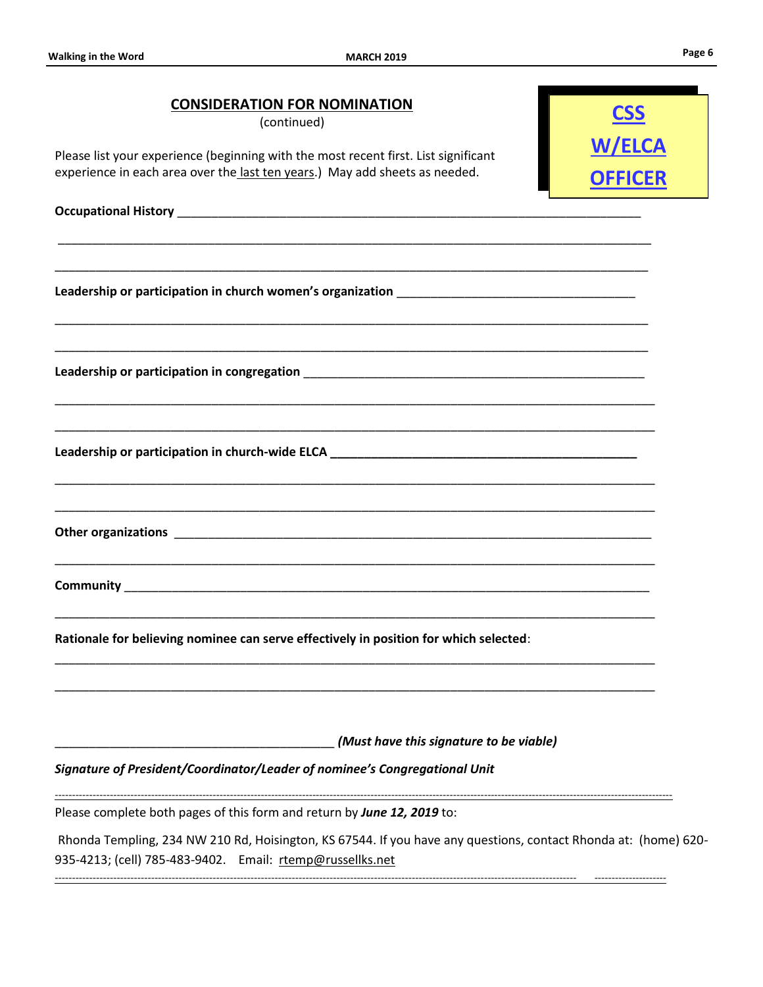| <b>CONSIDERATION FOR NOMINATION</b><br>(continued)                                                                                                                           | <b>CSS</b>                      |  |
|------------------------------------------------------------------------------------------------------------------------------------------------------------------------------|---------------------------------|--|
| Please list your experience (beginning with the most recent first. List significant<br>experience in each area over the last ten years.) May add sheets as needed.           | <b>W/ELCA</b><br><b>OFFICER</b> |  |
|                                                                                                                                                                              |                                 |  |
|                                                                                                                                                                              |                                 |  |
|                                                                                                                                                                              |                                 |  |
|                                                                                                                                                                              |                                 |  |
|                                                                                                                                                                              |                                 |  |
|                                                                                                                                                                              |                                 |  |
|                                                                                                                                                                              |                                 |  |
|                                                                                                                                                                              |                                 |  |
|                                                                                                                                                                              |                                 |  |
|                                                                                                                                                                              |                                 |  |
| Rationale for believing nominee can serve effectively in position for which selected:                                                                                        |                                 |  |
|                                                                                                                                                                              |                                 |  |
| (Must have this signature to be viable)                                                                                                                                      |                                 |  |
| Signature of President/Coordinator/Leader of nominee's Congregational Unit                                                                                                   |                                 |  |
| Please complete both pages of this form and return by June 12, 2019 to:                                                                                                      |                                 |  |
| Rhonda Templing, 234 NW 210 Rd, Hoisington, KS 67544. If you have any questions, contact Rhonda at: (home) 620-<br>935-4213; (cell) 785-483-9402. Email: rtemp@russellks.net |                                 |  |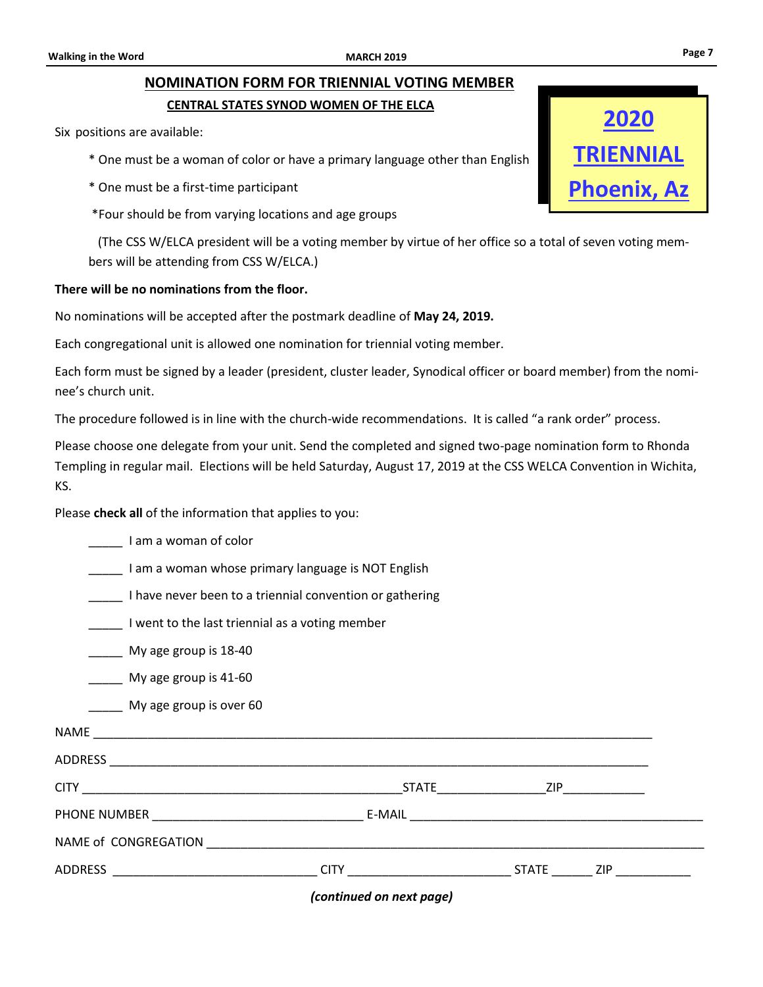#### **CENTRAL STATES SYNOD WOMEN OF THE ELCA**

Six positions are available:

- \* One must be a woman of color or have a primary language other than English
- \* One must be a first-time participant

\*Four should be from varying locations and age groups

 (The CSS W/ELCA president will be a voting member by virtue of her office so a total of seven voting members will be attending from CSS W/ELCA.)

#### **There will be no nominations from the floor.**

No nominations will be accepted after the postmark deadline of **May 24, 2019.**

Each congregational unit is allowed one nomination for triennial voting member.

Each form must be signed by a leader (president, cluster leader, Synodical officer or board member) from the nominee's church unit.

The procedure followed is in line with the church-wide recommendations. It is called "a rank order" process.

Please choose one delegate from your unit. Send the completed and signed two-page nomination form to Rhonda Templing in regular mail. Elections will be held Saturday, August 17, 2019 at the CSS WELCA Convention in Wichita, KS.

Please **check all** of the information that applies to you:

|                       | (continued on next page)                                 |  |  |  |  |
|-----------------------|----------------------------------------------------------|--|--|--|--|
|                       |                                                          |  |  |  |  |
|                       |                                                          |  |  |  |  |
|                       |                                                          |  |  |  |  |
|                       |                                                          |  |  |  |  |
|                       |                                                          |  |  |  |  |
|                       |                                                          |  |  |  |  |
|                       | My age group is over 60                                  |  |  |  |  |
|                       | My age group is 41-60                                    |  |  |  |  |
|                       | My age group is 18-40                                    |  |  |  |  |
|                       | I went to the last triennial as a voting member          |  |  |  |  |
|                       | I have never been to a triennial convention or gathering |  |  |  |  |
|                       | I am a woman whose primary language is NOT English       |  |  |  |  |
| I am a woman of color |                                                          |  |  |  |  |

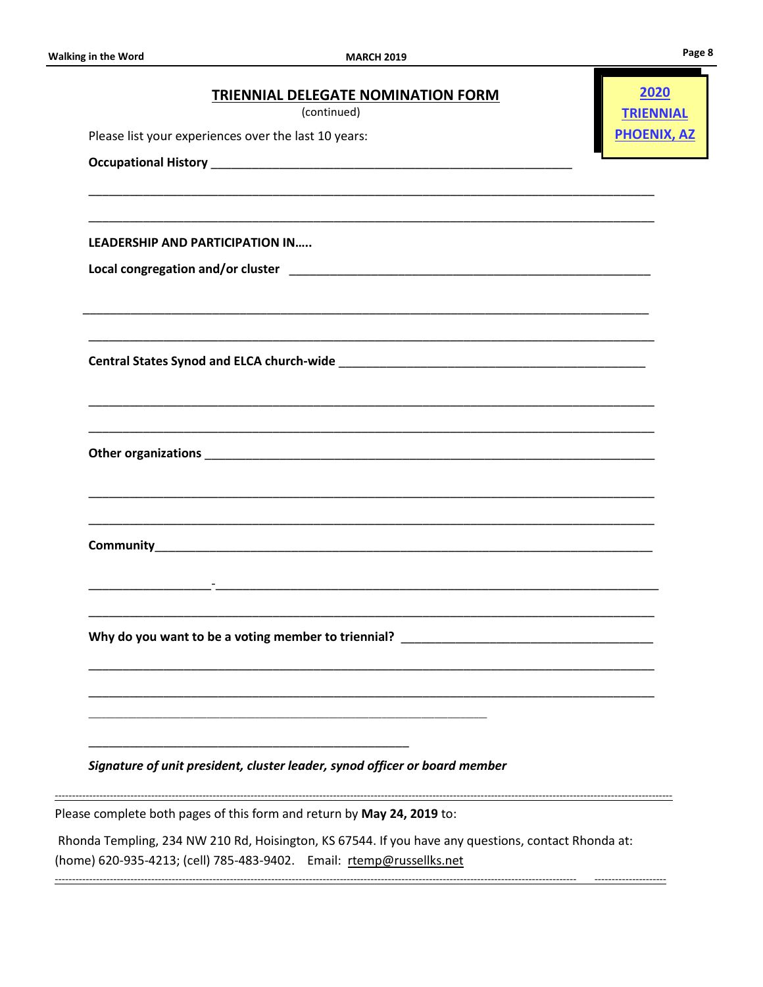| <b>TRIENNIAL DELEGATE NOMINATION FORM</b><br>(continued)<br>Please list your experiences over the last 10 years:                                                            | 2020<br><b>TRIENNIAL</b><br><b>PHOENIX, AZ</b> |
|-----------------------------------------------------------------------------------------------------------------------------------------------------------------------------|------------------------------------------------|
|                                                                                                                                                                             |                                                |
|                                                                                                                                                                             |                                                |
| <b>LEADERSHIP AND PARTICIPATION IN</b>                                                                                                                                      |                                                |
|                                                                                                                                                                             |                                                |
|                                                                                                                                                                             |                                                |
|                                                                                                                                                                             |                                                |
|                                                                                                                                                                             |                                                |
|                                                                                                                                                                             |                                                |
|                                                                                                                                                                             |                                                |
|                                                                                                                                                                             |                                                |
|                                                                                                                                                                             |                                                |
|                                                                                                                                                                             |                                                |
|                                                                                                                                                                             |                                                |
| Why do you want to be a voting member to triennial? _                                                                                                                       |                                                |
|                                                                                                                                                                             |                                                |
|                                                                                                                                                                             |                                                |
|                                                                                                                                                                             |                                                |
| Signature of unit president, cluster leader, synod officer or board member                                                                                                  |                                                |
| Please complete both pages of this form and return by May 24, 2019 to:                                                                                                      |                                                |
| Rhonda Templing, 234 NW 210 Rd, Hoisington, KS 67544. If you have any questions, contact Rhonda at:<br>(home) 620-935-4213; (cell) 785-483-9402. Email: rtemp@russellks.net |                                                |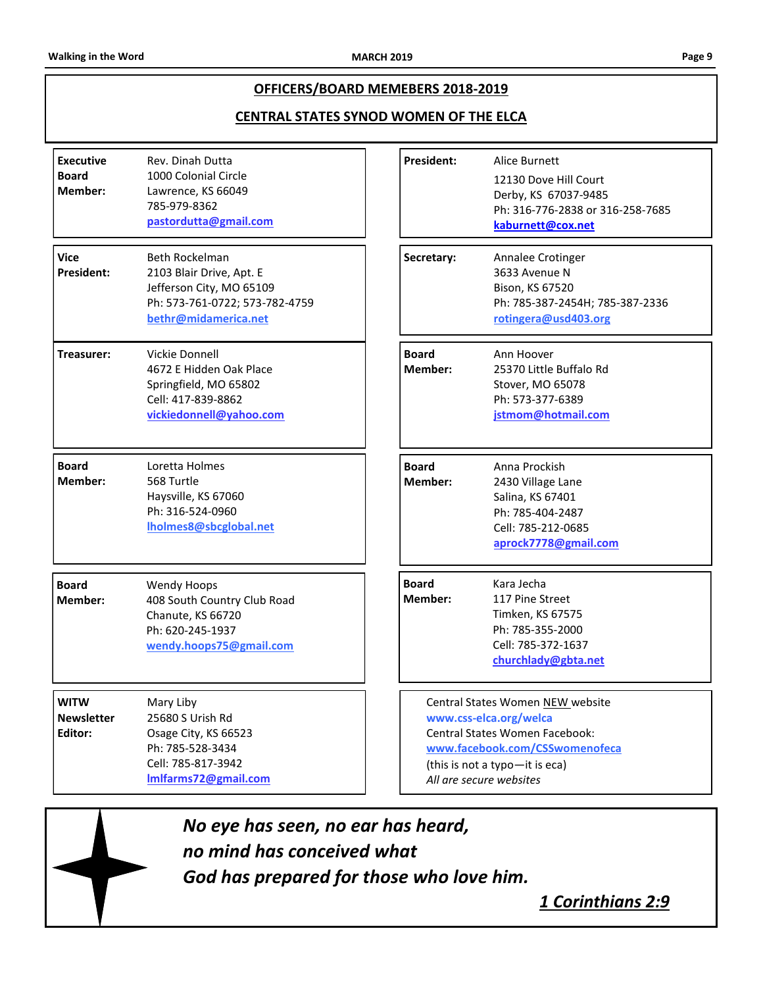#### **OFFICERS/BOARD MEMEBERS 2018-2019**

#### **CENTRAL STATES SYNOD WOMEN OF THE ELCA**

| <b>Executive</b><br><b>Board</b><br>Member: | Rev. Dinah Dutta<br>1000 Colonial Circle<br>Lawrence, KS 66049<br>785-979-8362<br>pastordutta@gmail.com                          | <b>President:</b>       |                                                                                                                                                                                             | Alice Burnett<br>12130 Dove Hill Court<br>Derby, KS 67037-9485<br>Ph: 316-776-2838 or 316-258-7685<br>kaburnett@cox.net  |
|---------------------------------------------|----------------------------------------------------------------------------------------------------------------------------------|-------------------------|---------------------------------------------------------------------------------------------------------------------------------------------------------------------------------------------|--------------------------------------------------------------------------------------------------------------------------|
| <b>Vice</b><br>President:                   | Beth Rockelman<br>2103 Blair Drive, Apt. E<br>Jefferson City, MO 65109<br>Ph: 573-761-0722; 573-782-4759<br>bethr@midamerica.net | Secretary:              |                                                                                                                                                                                             | Annalee Crotinger<br>3633 Avenue N<br>Bison, KS 67520<br>Ph: 785-387-2454H; 785-387-2336<br>rotingera@usd403.org         |
| Treasurer:                                  | Vickie Donnell<br>4672 E Hidden Oak Place<br>Springfield, MO 65802<br>Cell: 417-839-8862<br>vickiedonnell@yahoo.com              | <b>Board</b><br>Member: |                                                                                                                                                                                             | Ann Hoover<br>25370 Little Buffalo Rd<br>Stover, MO 65078<br>Ph: 573-377-6389<br>jstmom@hotmail.com                      |
| <b>Board</b><br>Member:                     | Loretta Holmes<br>568 Turtle<br>Haysville, KS 67060<br>Ph: 316-524-0960<br>Iholmes8@sbcglobal.net                                | <b>Board</b><br>Member: |                                                                                                                                                                                             | Anna Prockish<br>2430 Village Lane<br>Salina, KS 67401<br>Ph: 785-404-2487<br>Cell: 785-212-0685<br>aprock7778@gmail.com |
| <b>Board</b><br>Member:                     | <b>Wendy Hoops</b><br>408 South Country Club Road<br>Chanute, KS 66720<br>Ph: 620-245-1937<br>wendy.hoops75@gmail.com            | <b>Board</b><br>Member: |                                                                                                                                                                                             | Kara Jecha<br>117 Pine Street<br>Timken, KS 67575<br>Ph: 785-355-2000<br>Cell: 785-372-1637<br>churchlady@gbta.net       |
| <b>WITW</b><br><b>Newsletter</b><br>Editor: | Mary Liby<br>25680 S Urish Rd<br>Osage City, KS 66523<br>Ph: 785-528-3434<br>Cell: 785-817-3942<br>Imlfarms72@gmail.com          |                         | Central States Women NEW website<br>www.css-elca.org/welca<br>Central States Women Facebook:<br>www.facebook.com/CSSwomenofeca<br>(this is not a typo-it is eca)<br>All are secure websites |                                                                                                                          |

*No eye has seen, no ear has heard, no mind has conceived what God has prepared for those who love him.*

*1 Corinthians 2:9*